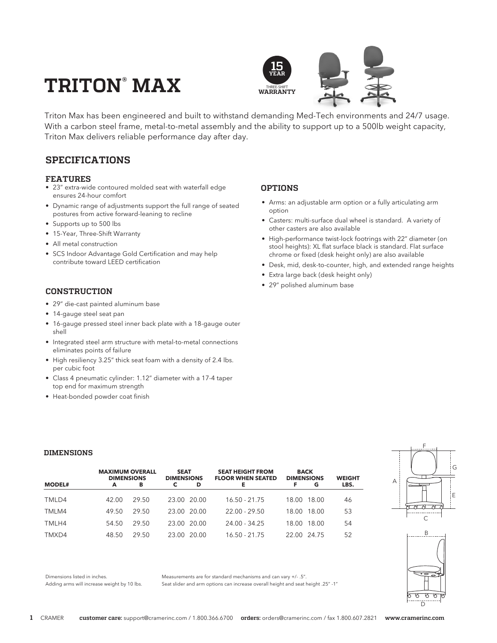# $\textbf{TRITON}^{\circ} \textbf{MAX}$



Triton Max has been engineered and built to withstand demanding Med-Tech environments and 24/7 usage. With a carbon steel frame, metal-to-metal assembly and the ability to support up to a 500lb weight capacity, Triton Max delivers reliable performance day after day.

# **SPECIFICATIONS**

### **FEATURES**

- 23" extra-wide contoured molded seat with waterfall edge ensures 24-hour comfort
- Dynamic range of adjustments support the full range of seated postures from active forward-leaning to recline
- Supports up to 500 lbs
- 15-Year, Three-Shift Warranty
- All metal construction
- SCS Indoor Advantage Gold Certification and may help contribute toward LEED certification

### **CONSTRUCTION**

- 29" die-cast painted aluminum base
- 14-gauge steel seat pan
- 16-gauge pressed steel inner back plate with a 18-gauge outer shell
- Integrated steel arm structure with metal-to-metal connections eliminates points of failure
- High resiliency 3.25" thick seat foam with a density of 2.4 lbs. per cubic foot
- Class 4 pneumatic cylinder: 1.12" diameter with a 17-4 taper top end for maximum strength
- Heat-bonded powder coat finish

## **OPTIONS**

- Arms: an adjustable arm option or a fully articulating arm option
- Casters: multi-surface dual wheel is standard. A variety of other casters are also available
- High-performance twist-lock footrings with 22" diameter (on stool heights): XL flat surface black is standard. Flat surface chrome or fixed (desk height only) are also available
- Desk, mid, desk-to-counter, high, and extended range heights
- Extra large back (desk height only)
- 29" polished aluminum base

#### **DIMENSIONS**

|               | <b>MAXIMUM OVERALL</b><br><b>DIMENSIONS</b> |       | <b>SEAT</b><br><b>DIMENSIONS</b> |             | <b>SEAT HEIGHT FROM</b><br><b>FLOOR WHEN SEATED</b> | <b>BACK</b><br><b>DIMENSIONS</b> | <b>WEIGHT</b> |
|---------------|---------------------------------------------|-------|----------------------------------|-------------|-----------------------------------------------------|----------------------------------|---------------|
| <b>MODEL#</b> | A                                           | в     |                                  | D           | Е                                                   | G                                | LBS.          |
| TMLD4         | 42.00                                       | 29.50 |                                  | 23.00 20.00 | $16.50 - 21.75$                                     | 18.00 18.00                      | 46            |
| TMLM4         | 49.50                                       | 29.50 |                                  | 23.00 20.00 | $22.00 - 29.50$                                     | 18.00 18.00                      | 53            |
| TMLH4         | 54.50                                       | 29.50 |                                  | 23.00 20.00 | 24.00 - 34.25                                       | 18.00 18.00                      | 54            |
| TMXD4         | 48.50                                       | 29.50 |                                  | 23.00 20.00 | $16.50 - 21.75$                                     | 22.00 24.75                      | 52            |





Dimensions listed in inches. Adding arms will increase weight by 10 lbs. Measurements are for standard mechanisms and can vary +/- .5". Seat slider and arm options can increase overall height and seat height .25" -1"